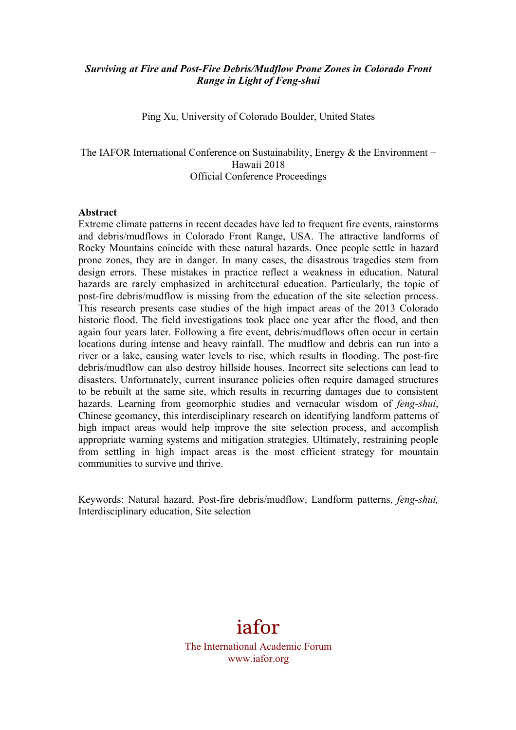## *Surviving at Fire and Post-Fire Debris/Mudflow Prone Zones in Colorado Front Range in Light of Feng-shui*

Ping Xu, University of Colorado Boulder, United States

The IAFOR International Conference on Sustainability, Energy & the Environment – Hawaii 2018 Official Conference Proceedings

#### **Abstract**

Extreme climate patterns in recent decades have led to frequent fire events, rainstorms and debris/mudflows in Colorado Front Range, USA. The attractive landforms of Rocky Mountains coincide with these natural hazards. Once people settle in hazard prone zones, they are in danger. In many cases, the disastrous tragedies stem from design errors. These mistakes in practice reflect a weakness in education. Natural hazards are rarely emphasized in architectural education. Particularly, the topic of post-fire debris/mudflow is missing from the education of the site selection process. This research presents case studies of the high impact areas of the 2013 Colorado historic flood. The field investigations took place one year after the flood, and then again four years later. Following a fire event, debris/mudflows often occur in certain locations during intense and heavy rainfall. The mudflow and debris can run into a river or a lake, causing water levels to rise, which results in flooding. The post-fire debris/mudflow can also destroy hillside houses. Incorrect site selections can lead to disasters. Unfortunately, current insurance policies often require damaged structures to be rebuilt at the same site, which results in recurring damages due to consistent hazards. Learning from geomorphic studies and vernacular wisdom of *feng-shui*, Chinese geomancy, this interdisciplinary research on identifying landform patterns of high impact areas would help improve the site selection process, and accomplish appropriate warning systems and mitigation strategies. Ultimately, restraining people from settling in high impact areas is the most efficient strategy for mountain communities to survive and thrive.

Keywords: Natural hazard, Post-fire debris/mudflow, Landform patterns, *feng-shui,*  Interdisciplinary education, Site selection

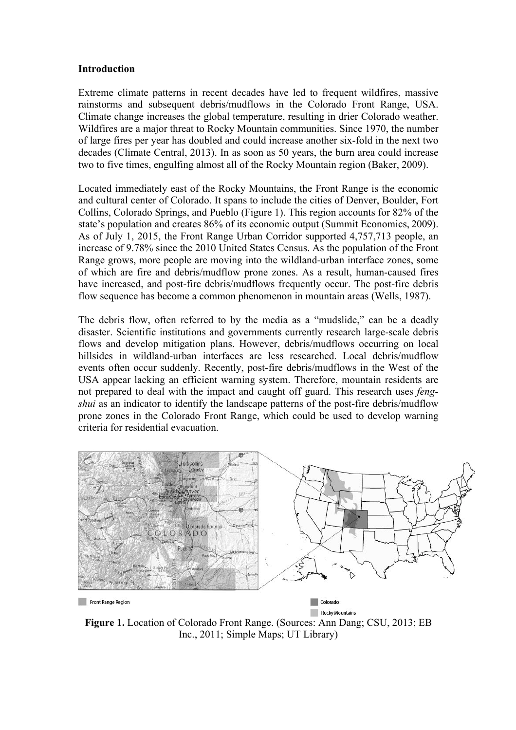#### **Introduction**

Extreme climate patterns in recent decades have led to frequent wildfires, massive rainstorms and subsequent debris/mudflows in the Colorado Front Range, USA. Climate change increases the global temperature, resulting in drier Colorado weather. Wildfires are a major threat to Rocky Mountain communities. Since 1970, the number of large fires per year has doubled and could increase another six-fold in the next two decades (Climate Central, 2013). In as soon as 50 years, the burn area could increase two to five times, engulfing almost all of the Rocky Mountain region (Baker, 2009).

Located immediately east of the Rocky Mountains, the Front Range is the economic and cultural center of Colorado. It spans to include the cities of Denver, Boulder, Fort Collins, Colorado Springs, and Pueblo (Figure 1). This region accounts for 82% of the state's population and creates 86% of its economic output (Summit Economics, 2009). As of July 1, 2015, the Front Range Urban Corridor supported 4,757,713 people, an increase of 9.78% since the 2010 United States Census. As the population of the Front Range grows, more people are moving into the wildland-urban interface zones, some of which are fire and debris/mudflow prone zones. As a result, human-caused fires have increased, and post-fire debris/mudflows frequently occur. The post-fire debris flow sequence has become a common phenomenon in mountain areas (Wells, 1987).

The debris flow, often referred to by the media as a "mudslide," can be a deadly disaster. Scientific institutions and governments currently research large-scale debris flows and develop mitigation plans. However, debris/mudflows occurring on local hillsides in wildland-urban interfaces are less researched. Local debris/mudflow events often occur suddenly. Recently, post-fire debris/mudflows in the West of the USA appear lacking an efficient warning system. Therefore, mountain residents are not prepared to deal with the impact and caught off guard. This research uses *fengshui* as an indicator to identify the landscape patterns of the post-fire debris/mudflow prone zones in the Colorado Front Range, which could be used to develop warning criteria for residential evacuation.



Rocky Mountains **Figure 1.** Location of Colorado Front Range. (Sources: Ann Dang; CSU, 2013; EB Inc., 2011; Simple Maps; UT Library)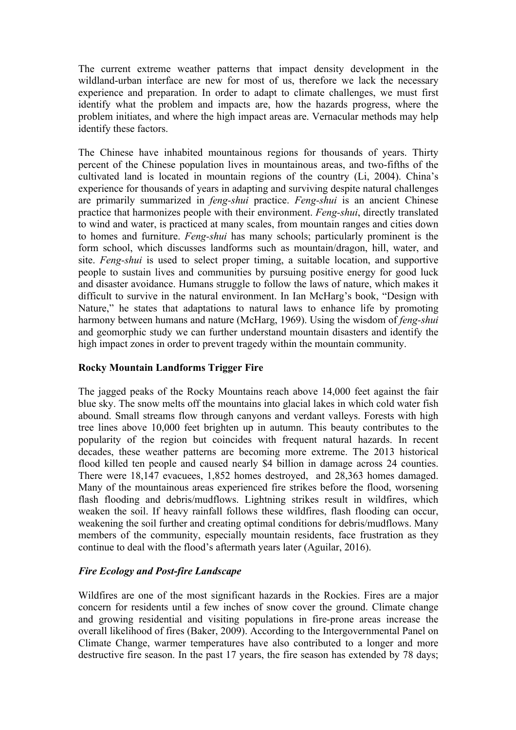The current extreme weather patterns that impact density development in the wildland-urban interface are new for most of us, therefore we lack the necessary experience and preparation. In order to adapt to climate challenges, we must first identify what the problem and impacts are, how the hazards progress, where the problem initiates, and where the high impact areas are. Vernacular methods may help identify these factors.

The Chinese have inhabited mountainous regions for thousands of years. Thirty percent of the Chinese population lives in mountainous areas, and two-fifths of the cultivated land is located in mountain regions of the country (Li, 2004). China's experience for thousands of years in adapting and surviving despite natural challenges are primarily summarized in *feng-shui* practice. *Feng-shui* is an ancient Chinese practice that harmonizes people with their environment. *Feng-shui*, directly translated to wind and water, is practiced at many scales, from mountain ranges and cities down to homes and furniture. *Feng-shui* has many schools; particularly prominent is the form school, which discusses landforms such as mountain/dragon, hill, water, and site. *Feng-shui* is used to select proper timing, a suitable location, and supportive people to sustain lives and communities by pursuing positive energy for good luck and disaster avoidance. Humans struggle to follow the laws of nature, which makes it difficult to survive in the natural environment. In Ian McHarg's book, "Design with Nature," he states that adaptations to natural laws to enhance life by promoting harmony between humans and nature (McHarg, 1969). Using the wisdom of *feng-shui*  and geomorphic study we can further understand mountain disasters and identify the high impact zones in order to prevent tragedy within the mountain community.

# **Rocky Mountain Landforms Trigger Fire**

The jagged peaks of the Rocky Mountains reach above 14,000 feet against the fair blue sky. The snow melts off the mountains into glacial lakes in which cold water fish abound. Small streams flow through canyons and verdant valleys. Forests with high tree lines above 10,000 feet brighten up in autumn. This beauty contributes to the popularity of the region but coincides with frequent natural hazards. In recent decades, these weather patterns are becoming more extreme. The 2013 historical flood killed ten people and caused nearly \$4 billion in damage across 24 counties. There were 18,147 evacuees, 1,852 homes destroyed, and 28,363 homes damaged. Many of the mountainous areas experienced fire strikes before the flood, worsening flash flooding and debris/mudflows. Lightning strikes result in wildfires, which weaken the soil. If heavy rainfall follows these wildfires, flash flooding can occur, weakening the soil further and creating optimal conditions for debris/mudflows. Many members of the community, especially mountain residents, face frustration as they continue to deal with the flood's aftermath years later (Aguilar, 2016).

# *Fire Ecology and Post-fire Landscape*

Wildfires are one of the most significant hazards in the Rockies. Fires are a major concern for residents until a few inches of snow cover the ground. Climate change and growing residential and visiting populations in fire-prone areas increase the overall likelihood of fires (Baker, 2009). According to the Intergovernmental Panel on Climate Change, warmer temperatures have also contributed to a longer and more destructive fire season. In the past 17 years, the fire season has extended by 78 days;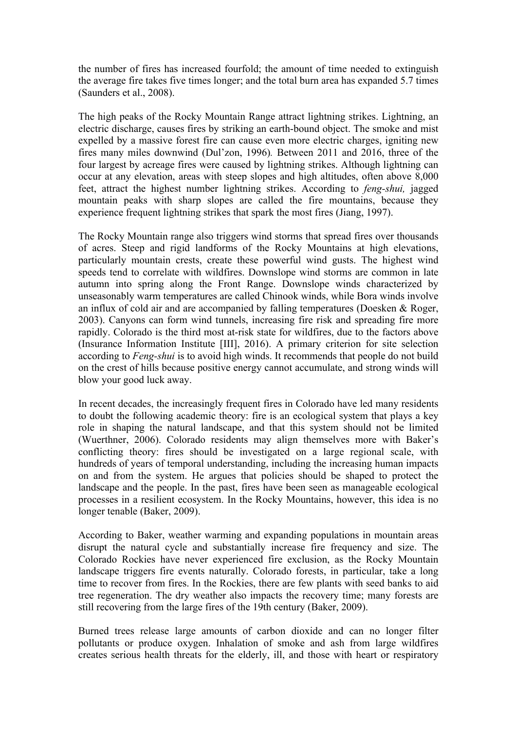the number of fires has increased fourfold; the amount of time needed to extinguish the average fire takes five times longer; and the total burn area has expanded 5.7 times (Saunders et al., 2008).

The high peaks of the Rocky Mountain Range attract lightning strikes. Lightning, an electric discharge, causes fires by striking an earth-bound object. The smoke and mist expelled by a massive forest fire can cause even more electric charges, igniting new fires many miles downwind (Dul'zon, 1996)*.* Between 2011 and 2016, three of the four largest by acreage fires were caused by lightning strikes. Although lightning can occur at any elevation, areas with steep slopes and high altitudes, often above 8,000 feet, attract the highest number lightning strikes. According to *feng-shui,* jagged mountain peaks with sharp slopes are called the fire mountains, because they experience frequent lightning strikes that spark the most fires (Jiang, 1997).

The Rocky Mountain range also triggers wind storms that spread fires over thousands of acres. Steep and rigid landforms of the Rocky Mountains at high elevations, particularly mountain crests, create these powerful wind gusts. The highest wind speeds tend to correlate with wildfires. Downslope wind storms are common in late autumn into spring along the Front Range. Downslope winds characterized by unseasonably warm temperatures are called Chinook winds, while Bora winds involve an influx of cold air and are accompanied by falling temperatures (Doesken & Roger, 2003). Canyons can form wind tunnels, increasing fire risk and spreading fire more rapidly. Colorado is the third most at-risk state for wildfires, due to the factors above (Insurance Information Institute [III], 2016). A primary criterion for site selection according to *Feng-shui* is to avoid high winds. It recommends that people do not build on the crest of hills because positive energy cannot accumulate, and strong winds will blow your good luck away.

In recent decades, the increasingly frequent fires in Colorado have led many residents to doubt the following academic theory: fire is an ecological system that plays a key role in shaping the natural landscape, and that this system should not be limited (Wuerthner, 2006). Colorado residents may align themselves more with Baker's conflicting theory: fires should be investigated on a large regional scale, with hundreds of years of temporal understanding, including the increasing human impacts on and from the system. He argues that policies should be shaped to protect the landscape and the people. In the past, fires have been seen as manageable ecological processes in a resilient ecosystem. In the Rocky Mountains, however, this idea is no longer tenable (Baker, 2009).

According to Baker, weather warming and expanding populations in mountain areas disrupt the natural cycle and substantially increase fire frequency and size. The Colorado Rockies have never experienced fire exclusion, as the Rocky Mountain landscape triggers fire events naturally. Colorado forests, in particular, take a long time to recover from fires. In the Rockies, there are few plants with seed banks to aid tree regeneration. The dry weather also impacts the recovery time; many forests are still recovering from the large fires of the 19th century (Baker, 2009).

Burned trees release large amounts of carbon dioxide and can no longer filter pollutants or produce oxygen. Inhalation of smoke and ash from large wildfires creates serious health threats for the elderly, ill, and those with heart or respiratory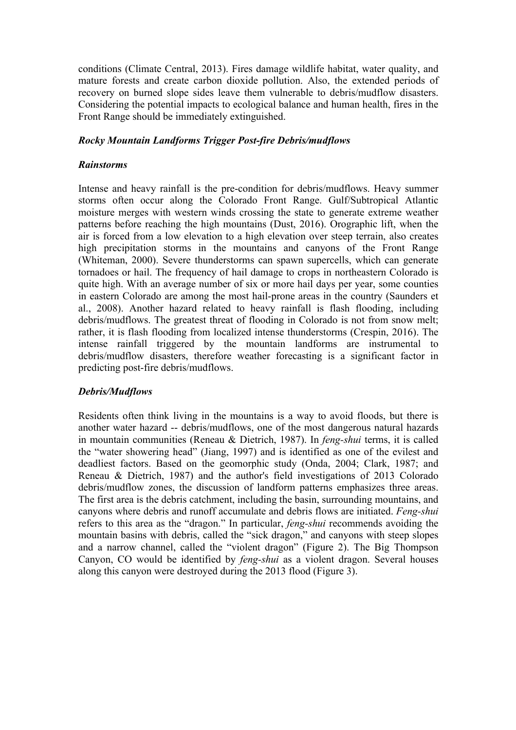conditions (Climate Central, 2013). Fires damage wildlife habitat, water quality, and mature forests and create carbon dioxide pollution. Also, the extended periods of recovery on burned slope sides leave them vulnerable to debris/mudflow disasters. Considering the potential impacts to ecological balance and human health, fires in the Front Range should be immediately extinguished.

# *Rocky Mountain Landforms Trigger Post-fire Debris/mudflows*

## *Rainstorms*

Intense and heavy rainfall is the pre-condition for debris/mudflows. Heavy summer storms often occur along the Colorado Front Range. Gulf/Subtropical Atlantic moisture merges with western winds crossing the state to generate extreme weather patterns before reaching the high mountains (Dust, 2016). Orographic lift, when the air is forced from a low elevation to a high elevation over steep terrain, also creates high precipitation storms in the mountains and canyons of the Front Range (Whiteman, 2000). Severe thunderstorms can spawn supercells, which can generate tornadoes or hail. The frequency of hail damage to crops in northeastern Colorado is quite high. With an average number of six or more hail days per year, some counties in eastern Colorado are among the most hail-prone areas in the country (Saunders et al., 2008). Another hazard related to heavy rainfall is flash flooding, including debris/mudflows. The greatest threat of flooding in Colorado is not from snow melt; rather, it is flash flooding from localized intense thunderstorms (Crespin, 2016). The intense rainfall triggered by the mountain landforms are instrumental to debris/mudflow disasters, therefore weather forecasting is a significant factor in predicting post-fire debris/mudflows.

# *Debris/Mudflows*

Residents often think living in the mountains is a way to avoid floods, but there is another water hazard -- debris/mudflows, one of the most dangerous natural hazards in mountain communities (Reneau & Dietrich, 1987). In *feng-shui* terms, it is called the "water showering head" (Jiang, 1997) and is identified as one of the evilest and deadliest factors. Based on the geomorphic study (Onda, 2004; Clark, 1987; and Reneau & Dietrich, 1987) and the author's field investigations of 2013 Colorado debris/mudflow zones, the discussion of landform patterns emphasizes three areas. The first area is the debris catchment, including the basin, surrounding mountains, and canyons where debris and runoff accumulate and debris flows are initiated. *Feng-shui* refers to this area as the "dragon." In particular, *feng-shui* recommends avoiding the mountain basins with debris, called the "sick dragon," and canyons with steep slopes and a narrow channel, called the "violent dragon" (Figure 2). The Big Thompson Canyon, CO would be identified by *feng-shui* as a violent dragon. Several houses along this canyon were destroyed during the 2013 flood (Figure 3).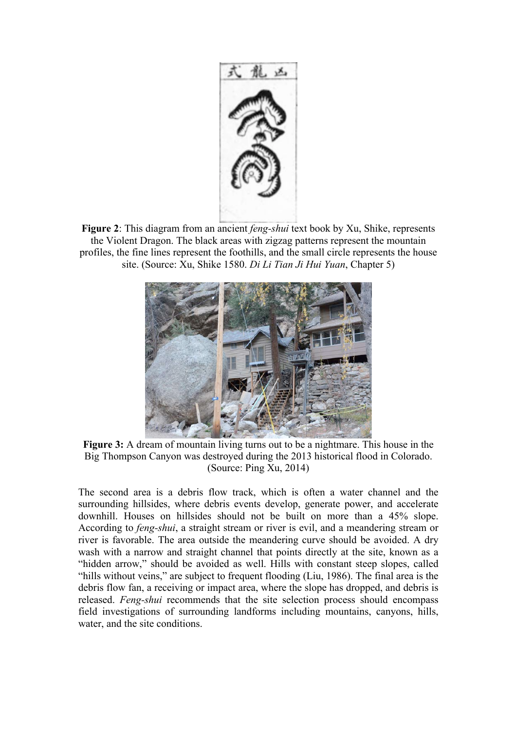

**Figure 2**: This diagram from an ancient *feng-shui* text book by Xu, Shike, represents the Violent Dragon. The black areas with zigzag patterns represent the mountain profiles, the fine lines represent the foothills, and the small circle represents the house site. (Source: Xu, Shike 1580. *Di Li Tian Ji Hui Yuan*, Chapter 5)



**Figure 3:** A dream of mountain living turns out to be a nightmare. This house in the Big Thompson Canyon was destroyed during the 2013 historical flood in Colorado. (Source: Ping Xu, 2014)

The second area is a debris flow track, which is often a water channel and the surrounding hillsides, where debris events develop, generate power, and accelerate downhill. Houses on hillsides should not be built on more than a 45% slope. According to *feng-shui*, a straight stream or river is evil, and a meandering stream or river is favorable. The area outside the meandering curve should be avoided. A dry wash with a narrow and straight channel that points directly at the site, known as a "hidden arrow," should be avoided as well. Hills with constant steep slopes, called "hills without veins," are subject to frequent flooding (Liu, 1986). The final area is the debris flow fan, a receiving or impact area, where the slope has dropped, and debris is released. *Feng-shui* recommends that the site selection process should encompass field investigations of surrounding landforms including mountains, canyons, hills, water, and the site conditions.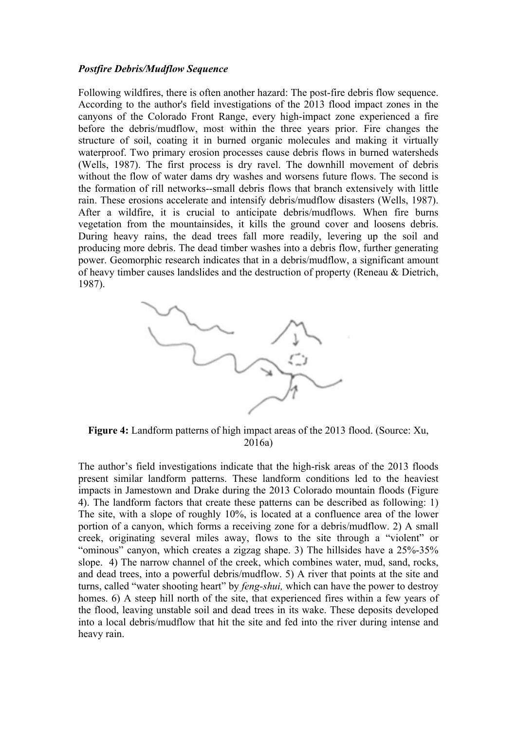## *Postfire Debris/Mudflow Sequence*

Following wildfires, there is often another hazard: The post-fire debris flow sequence. According to the author's field investigations of the 2013 flood impact zones in the canyons of the Colorado Front Range, every high-impact zone experienced a fire before the debris/mudflow, most within the three years prior. Fire changes the structure of soil, coating it in burned organic molecules and making it virtually waterproof. Two primary erosion processes cause debris flows in burned watersheds (Wells, 1987). The first process is dry ravel. The downhill movement of debris without the flow of water dams dry washes and worsens future flows. The second is the formation of rill networks--small debris flows that branch extensively with little rain. These erosions accelerate and intensify debris/mudflow disasters (Wells, 1987). After a wildfire, it is crucial to anticipate debris/mudflows. When fire burns vegetation from the mountainsides, it kills the ground cover and loosens debris. During heavy rains, the dead trees fall more readily, levering up the soil and producing more debris. The dead timber washes into a debris flow, further generating power. Geomorphic research indicates that in a debris/mudflow, a significant amount of heavy timber causes landslides and the destruction of property (Reneau & Dietrich, 1987).



**Figure 4:** Landform patterns of high impact areas of the 2013 flood. (Source: Xu, 2016a)

The author's field investigations indicate that the high-risk areas of the 2013 floods present similar landform patterns. These landform conditions led to the heaviest impacts in Jamestown and Drake during the 2013 Colorado mountain floods (Figure 4). The landform factors that create these patterns can be described as following: 1) The site, with a slope of roughly 10%, is located at a confluence area of the lower portion of a canyon, which forms a receiving zone for a debris/mudflow. 2) A small creek, originating several miles away, flows to the site through a "violent" or "ominous" canyon, which creates a zigzag shape. 3) The hillsides have a 25%-35% slope. 4) The narrow channel of the creek, which combines water, mud, sand, rocks, and dead trees, into a powerful debris/mudflow. 5) A river that points at the site and turns, called "water shooting heart" by *feng-shui,* which can have the power to destroy homes. 6) A steep hill north of the site, that experienced fires within a few years of the flood, leaving unstable soil and dead trees in its wake. These deposits developed into a local debris/mudflow that hit the site and fed into the river during intense and heavy rain.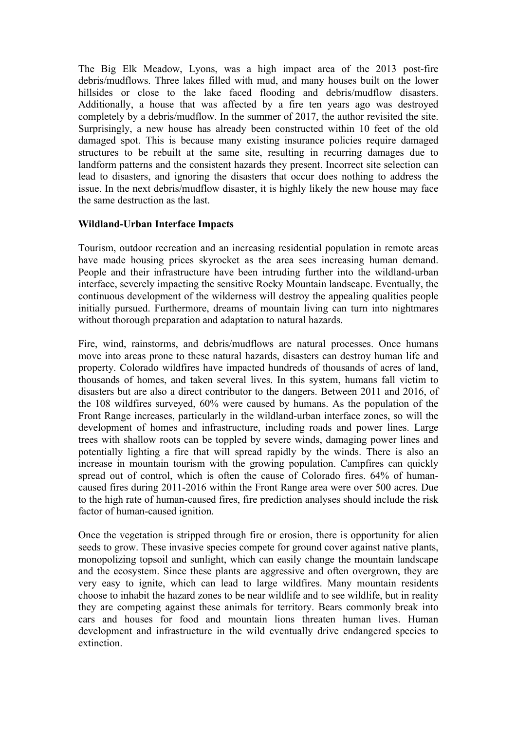The Big Elk Meadow, Lyons, was a high impact area of the 2013 post-fire debris/mudflows. Three lakes filled with mud, and many houses built on the lower hillsides or close to the lake faced flooding and debris/mudflow disasters. Additionally, a house that was affected by a fire ten years ago was destroyed completely by a debris/mudflow. In the summer of 2017, the author revisited the site. Surprisingly, a new house has already been constructed within 10 feet of the old damaged spot. This is because many existing insurance policies require damaged structures to be rebuilt at the same site, resulting in recurring damages due to landform patterns and the consistent hazards they present. Incorrect site selection can lead to disasters, and ignoring the disasters that occur does nothing to address the issue. In the next debris/mudflow disaster, it is highly likely the new house may face the same destruction as the last.

## **Wildland-Urban Interface Impacts**

Tourism, outdoor recreation and an increasing residential population in remote areas have made housing prices skyrocket as the area sees increasing human demand. People and their infrastructure have been intruding further into the wildland-urban interface, severely impacting the sensitive Rocky Mountain landscape. Eventually, the continuous development of the wilderness will destroy the appealing qualities people initially pursued. Furthermore, dreams of mountain living can turn into nightmares without thorough preparation and adaptation to natural hazards.

Fire, wind, rainstorms, and debris/mudflows are natural processes. Once humans move into areas prone to these natural hazards, disasters can destroy human life and property. Colorado wildfires have impacted hundreds of thousands of acres of land, thousands of homes, and taken several lives. In this system, humans fall victim to disasters but are also a direct contributor to the dangers. Between 2011 and 2016, of the 108 wildfires surveyed, 60% were caused by humans. As the population of the Front Range increases, particularly in the wildland-urban interface zones, so will the development of homes and infrastructure, including roads and power lines. Large trees with shallow roots can be toppled by severe winds, damaging power lines and potentially lighting a fire that will spread rapidly by the winds. There is also an increase in mountain tourism with the growing population. Campfires can quickly spread out of control, which is often the cause of Colorado fires. 64% of humancaused fires during 2011-2016 within the Front Range area were over 500 acres. Due to the high rate of human-caused fires, fire prediction analyses should include the risk factor of human-caused ignition.

Once the vegetation is stripped through fire or erosion, there is opportunity for alien seeds to grow. These invasive species compete for ground cover against native plants, monopolizing topsoil and sunlight, which can easily change the mountain landscape and the ecosystem. Since these plants are aggressive and often overgrown, they are very easy to ignite, which can lead to large wildfires. Many mountain residents choose to inhabit the hazard zones to be near wildlife and to see wildlife, but in reality they are competing against these animals for territory. Bears commonly break into cars and houses for food and mountain lions threaten human lives. Human development and infrastructure in the wild eventually drive endangered species to extinction.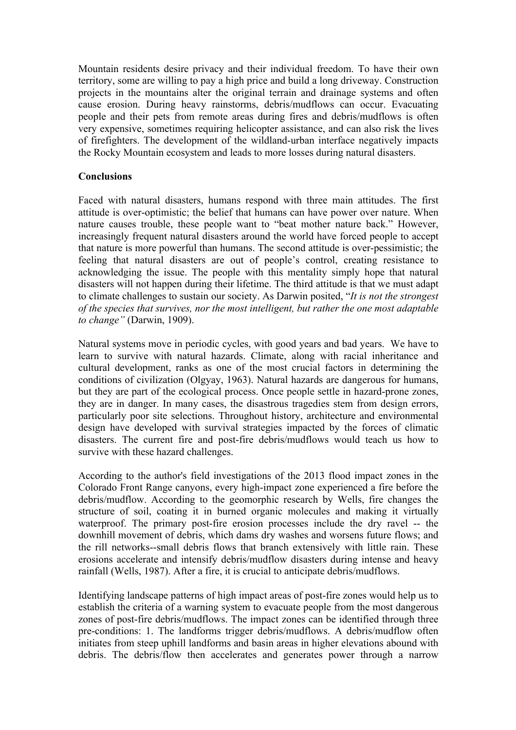Mountain residents desire privacy and their individual freedom. To have their own territory, some are willing to pay a high price and build a long driveway. Construction projects in the mountains alter the original terrain and drainage systems and often cause erosion. During heavy rainstorms, debris/mudflows can occur. Evacuating people and their pets from remote areas during fires and debris/mudflows is often very expensive, sometimes requiring helicopter assistance, and can also risk the lives of firefighters. The development of the wildland-urban interface negatively impacts the Rocky Mountain ecosystem and leads to more losses during natural disasters.

## **Conclusions**

Faced with natural disasters, humans respond with three main attitudes. The first attitude is over-optimistic; the belief that humans can have power over nature. When nature causes trouble, these people want to "beat mother nature back." However, increasingly frequent natural disasters around the world have forced people to accept that nature is more powerful than humans. The second attitude is over-pessimistic; the feeling that natural disasters are out of people's control, creating resistance to acknowledging the issue. The people with this mentality simply hope that natural disasters will not happen during their lifetime. The third attitude is that we must adapt to climate challenges to sustain our society. As Darwin posited, "*It is not the strongest of the species that survives, nor the most intelligent, but rather the one most adaptable to change"* (Darwin, 1909).

Natural systems move in periodic cycles, with good years and bad years. We have to learn to survive with natural hazards. Climate, along with racial inheritance and cultural development, ranks as one of the most crucial factors in determining the conditions of civilization (Olgyay, 1963). Natural hazards are dangerous for humans, but they are part of the ecological process. Once people settle in hazard-prone zones, they are in danger. In many cases, the disastrous tragedies stem from design errors, particularly poor site selections. Throughout history, architecture and environmental design have developed with survival strategies impacted by the forces of climatic disasters. The current fire and post-fire debris/mudflows would teach us how to survive with these hazard challenges.

According to the author's field investigations of the 2013 flood impact zones in the Colorado Front Range canyons, every high-impact zone experienced a fire before the debris/mudflow. According to the geomorphic research by Wells, fire changes the structure of soil, coating it in burned organic molecules and making it virtually waterproof. The primary post-fire erosion processes include the dry ravel -- the downhill movement of debris, which dams dry washes and worsens future flows; and the rill networks--small debris flows that branch extensively with little rain. These erosions accelerate and intensify debris/mudflow disasters during intense and heavy rainfall (Wells, 1987). After a fire, it is crucial to anticipate debris/mudflows.

Identifying landscape patterns of high impact areas of post-fire zones would help us to establish the criteria of a warning system to evacuate people from the most dangerous zones of post-fire debris/mudflows. The impact zones can be identified through three pre-conditions: 1. The landforms trigger debris/mudflows. A debris/mudflow often initiates from steep uphill landforms and basin areas in higher elevations abound with debris. The debris/flow then accelerates and generates power through a narrow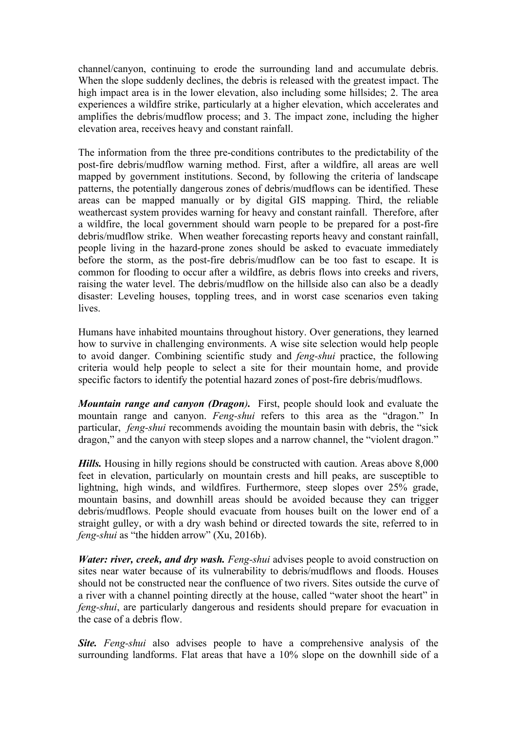channel/canyon, continuing to erode the surrounding land and accumulate debris. When the slope suddenly declines, the debris is released with the greatest impact. The high impact area is in the lower elevation, also including some hillsides; 2. The area experiences a wildfire strike, particularly at a higher elevation, which accelerates and amplifies the debris/mudflow process; and 3. The impact zone, including the higher elevation area, receives heavy and constant rainfall.

The information from the three pre-conditions contributes to the predictability of the post-fire debris/mudflow warning method. First, after a wildfire, all areas are well mapped by government institutions. Second, by following the criteria of landscape patterns, the potentially dangerous zones of debris/mudflows can be identified. These areas can be mapped manually or by digital GIS mapping. Third, the reliable weathercast system provides warning for heavy and constant rainfall. Therefore, after a wildfire, the local government should warn people to be prepared for a post-fire debris/mudflow strike. When weather forecasting reports heavy and constant rainfall, people living in the hazard-prone zones should be asked to evacuate immediately before the storm, as the post-fire debris/mudflow can be too fast to escape. It is common for flooding to occur after a wildfire, as debris flows into creeks and rivers, raising the water level. The debris/mudflow on the hillside also can also be a deadly disaster: Leveling houses, toppling trees, and in worst case scenarios even taking lives.

Humans have inhabited mountains throughout history. Over generations, they learned how to survive in challenging environments. A wise site selection would help people to avoid danger. Combining scientific study and *feng-shui* practice, the following criteria would help people to select a site for their mountain home, and provide specific factors to identify the potential hazard zones of post-fire debris/mudflows.

*Mountain range and canyon (Dragon).* First, people should look and evaluate the mountain range and canyon. *Feng-shui* refers to this area as the "dragon." In particular, *feng-shui* recommends avoiding the mountain basin with debris, the "sick dragon," and the canyon with steep slopes and a narrow channel, the "violent dragon."

*Hills.* Housing in hilly regions should be constructed with caution. Areas above 8,000 feet in elevation, particularly on mountain crests and hill peaks, are susceptible to lightning, high winds, and wildfires. Furthermore, steep slopes over 25% grade, mountain basins, and downhill areas should be avoided because they can trigger debris/mudflows. People should evacuate from houses built on the lower end of a straight gulley, or with a dry wash behind or directed towards the site, referred to in *feng-shui* as "the hidden arrow" (Xu, 2016b).

*Water: river, creek, and dry wash. Feng-shui* advises people to avoid construction on sites near water because of its vulnerability to debris/mudflows and floods. Houses should not be constructed near the confluence of two rivers. Sites outside the curve of a river with a channel pointing directly at the house, called "water shoot the heart" in *feng-shui*, are particularly dangerous and residents should prepare for evacuation in the case of a debris flow.

**Site.** Feng-shui also advises people to have a comprehensive analysis of the surrounding landforms. Flat areas that have a 10% slope on the downhill side of a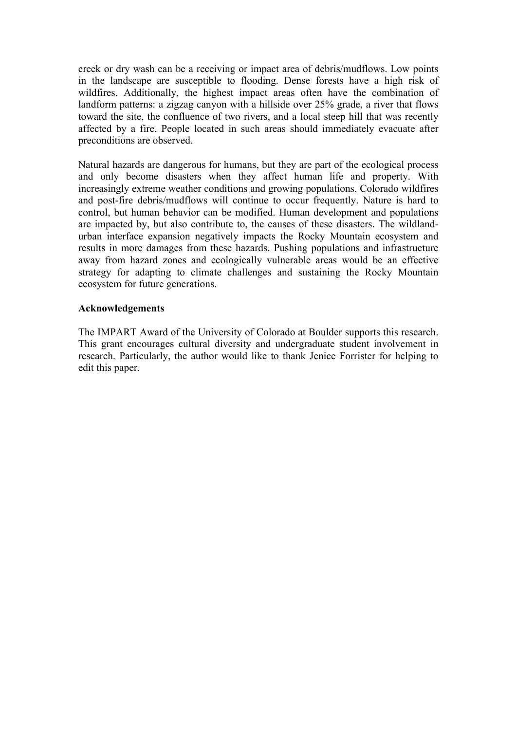creek or dry wash can be a receiving or impact area of debris/mudflows. Low points in the landscape are susceptible to flooding. Dense forests have a high risk of wildfires. Additionally, the highest impact areas often have the combination of landform patterns: a zigzag canyon with a hillside over 25% grade, a river that flows toward the site, the confluence of two rivers, and a local steep hill that was recently affected by a fire. People located in such areas should immediately evacuate after preconditions are observed.

Natural hazards are dangerous for humans, but they are part of the ecological process and only become disasters when they affect human life and property. With increasingly extreme weather conditions and growing populations, Colorado wildfires and post-fire debris/mudflows will continue to occur frequently. Nature is hard to control, but human behavior can be modified. Human development and populations are impacted by, but also contribute to, the causes of these disasters. The wildlandurban interface expansion negatively impacts the Rocky Mountain ecosystem and results in more damages from these hazards. Pushing populations and infrastructure away from hazard zones and ecologically vulnerable areas would be an effective strategy for adapting to climate challenges and sustaining the Rocky Mountain ecosystem for future generations.

## **Acknowledgements**

The IMPART Award of the University of Colorado at Boulder supports this research. This grant encourages cultural diversity and undergraduate student involvement in research. Particularly, the author would like to thank Jenice Forrister for helping to edit this paper.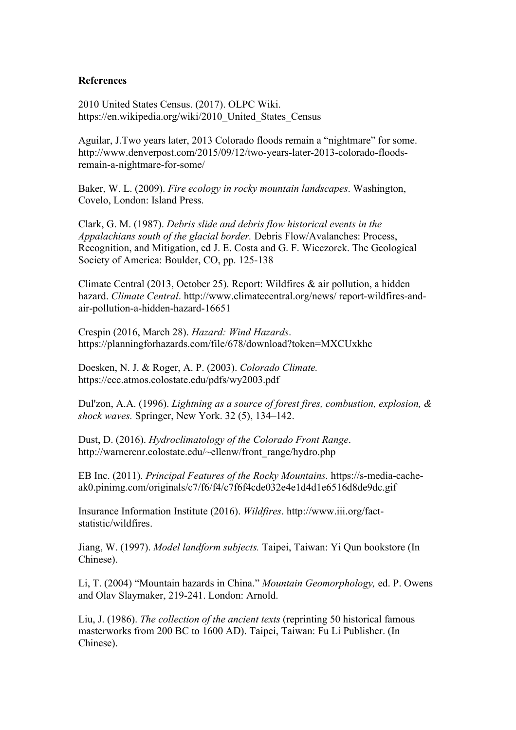#### **References**

2010 United States Census. (2017). OLPC Wiki. https://en.wikipedia.org/wiki/2010 United States Census

Aguilar, J.Two years later, 2013 Colorado floods remain a "nightmare" for some. http://www.denverpost.com/2015/09/12/two-years-later-2013-colorado-floodsremain-a-nightmare-for-some/

Baker, W. L. (2009). *Fire ecology in rocky mountain landscapes*. Washington, Covelo, London: Island Press.

Clark, G. M. (1987). *Debris slide and debris flow historical events in the Appalachians south of the glacial border.* Debris Flow/Avalanches: Process, Recognition, and Mitigation, ed J. E. Costa and G. F. Wieczorek. The Geological Society of America: Boulder, CO, pp. 125-138

Climate Central (2013, October 25). Report: Wildfires & air pollution, a hidden hazard. *Climate Central*. http://www.climatecentral.org/news/ report-wildfires-andair-pollution-a-hidden-hazard-16651

Crespin (2016, March 28). *Hazard: Wind Hazards*. https://planningforhazards.com/file/678/download?token=MXCUxkhc

Doesken, N. J. & Roger, A. P. (2003). *Colorado Climate.*  https://ccc.atmos.colostate.edu/pdfs/wy2003.pdf

Dul'zon, A.A. (1996). *Lightning as a source of forest fires, combustion, explosion, & shock waves.* Springer, New York. 32 (5), 134–142.

Dust, D. (2016). *Hydroclimatology of the Colorado Front Range*. http://warnercnr.colostate.edu/~ellenw/front\_range/hydro.php

EB Inc. (2011). *Principal Features of the Rocky Mountains.* https://s-media-cacheak0.pinimg.com/originals/c7/f6/f4/c7f6f4cde032e4e1d4d1e6516d8de9dc.gif

Insurance Information Institute (2016). *Wildfires*. http://www.iii.org/factstatistic/wildfires.

Jiang, W. (1997). *Model landform subjects.* Taipei, Taiwan: Yi Qun bookstore (In Chinese).

Li, T. (2004) "Mountain hazards in China." *Mountain Geomorphology,* ed. P. Owens and Olav Slaymaker, 219-241. London: Arnold.

Liu, J. (1986). *The collection of the ancient texts* (reprinting 50 historical famous masterworks from 200 BC to 1600 AD). Taipei, Taiwan: Fu Li Publisher. (In Chinese).